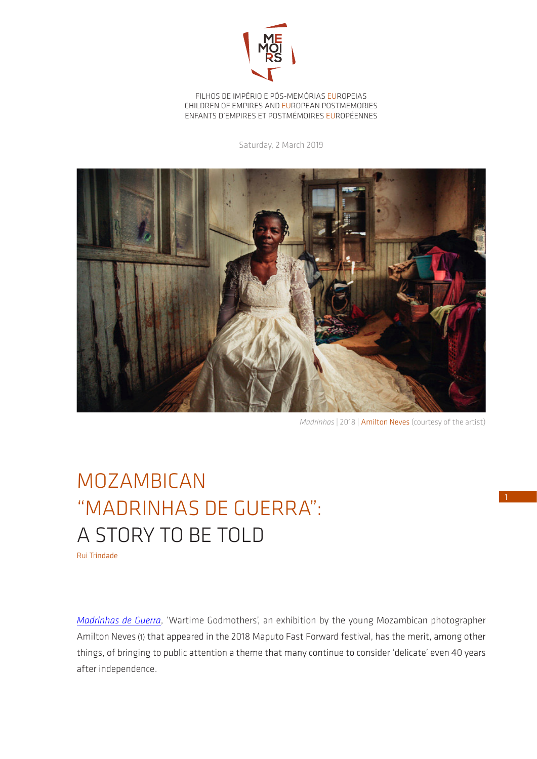

FILHOS DE IMPÉRIO E PÓS-MEMÓRIAS EUROPEIAS CHILDREN OF EMPIRES AND EUROPEAN POSTMEMORIES ENFANTS D'EMPIRES ET POSTMÉMOIRES EUROPÉENNES

Saturday, 2 March 2019



*Madrinhas* | 2018 | Amilton Neves (courtesy of the artist)

## MOZAMBICAN "MADRINHAS DE GUERRA": A STORY TO BE TOLD

Rui Trindade

*[Madrinhas de Guerra](https://maputofastforward.com/madrinhas-de-guerra-exposicao-de-fotografia-de-amilton-neves-no-mff-2018/)*, 'Wartime Godmothers', an exhibition by the young Mozambican photographer Amilton Neves (1) that appeared in the 2018 Maputo Fast Forward festival, has the merit, among other things, of bringing to public attention a theme that many continue to consider 'delicate' even 40 years after independence.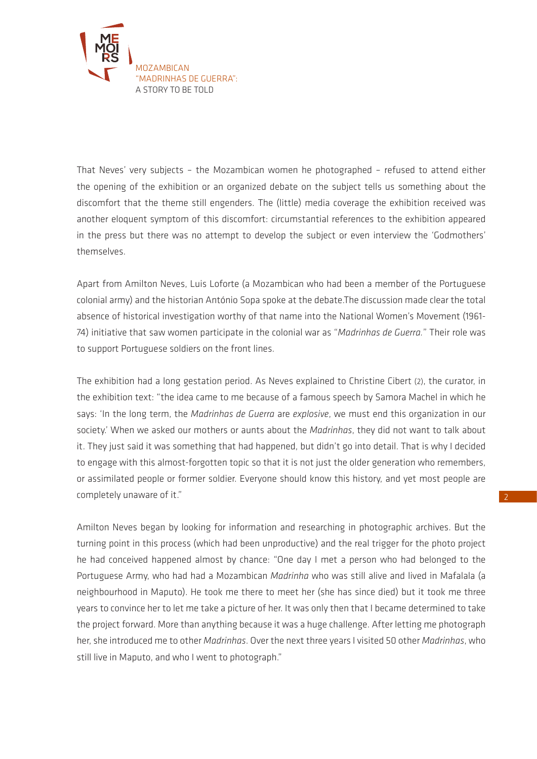

That Neves' very subjects – the Mozambican women he photographed – refused to attend either the opening of the exhibition or an organized debate on the subject tells us something about the discomfort that the theme still engenders. The (little) media coverage the exhibition received was another eloquent symptom of this discomfort: circumstantial references to the exhibition appeared in the press but there was no attempt to develop the subject or even interview the 'Godmothers' themselves.

Apart from Amilton Neves, Luis Loforte (a Mozambican who had been a member of the Portuguese colonial army) and the historian António Sopa spoke at the debate.The discussion made clear the total absence of historical investigation worthy of that name into the National Women's Movement (1961- 74) initiative that saw women participate in the colonial war as "*Madrinhas de Guerra.*" Their role was to support Portuguese soldiers on the front lines.

The exhibition had a long gestation period. As Neves explained to Christine Cibert (2), the curator, in the exhibition text: "the idea came to me because of a famous speech by Samora Machel in which he says: 'In the long term, the *Madrinhas de Guerra* are *explosive*, we must end this organization in our society.' When we asked our mothers or aunts about the *Madrinhas*, they did not want to talk about it. They just said it was something that had happened, but didn't go into detail. That is why I decided to engage with this almost-forgotten topic so that it is not just the older generation who remembers, or assimilated people or former soldier. Everyone should know this history, and yet most people are completely unaware of it."

Amilton Neves began by looking for information and researching in photographic archives. But the turning point in this process (which had been unproductive) and the real trigger for the photo project he had conceived happened almost by chance: "One day I met a person who had belonged to the Portuguese Army, who had had a Mozambican *Madrinha* who was still alive and lived in Mafalala (a neighbourhood in Maputo). He took me there to meet her (she has since died) but it took me three years to convince her to let me take a picture of her. It was only then that I became determined to take the project forward. More than anything because it was a huge challenge. After letting me photograph her, she introduced me to other *Madrinhas*. Over the next three years I visited 50 other *Madrinhas*, who still live in Maputo, and who I went to photograph."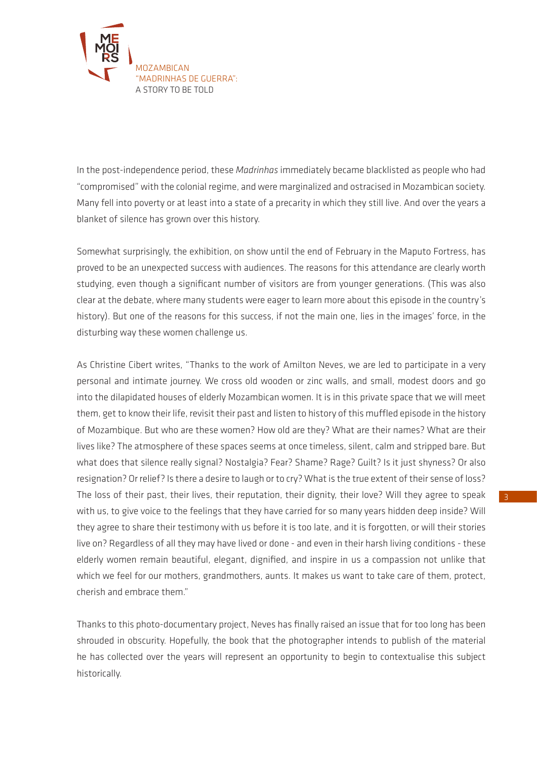

In the post-independence period, these *Madrinhas* immediately became blacklisted as people who had "compromised" with the colonial regime, and were marginalized and ostracised in Mozambican society. Many fell into poverty or at least into a state of a precarity in which they still live. And over the years a blanket of silence has grown over this history.

Somewhat surprisingly, the exhibition, on show until the end of February in the Maputo Fortress, has proved to be an unexpected success with audiences. The reasons for this attendance are clearly worth studying, even though a significant number of visitors are from younger generations. (This was also clear at the debate, where many students were eager to learn more about this episode in the country's history). But one of the reasons for this success, if not the main one, lies in the images' force, in the disturbing way these women challenge us.

As Christine Cibert writes, "Thanks to the work of Amilton Neves, we are led to participate in a very personal and intimate journey. We cross old wooden or zinc walls, and small, modest doors and go into the dilapidated houses of elderly Mozambican women. It is in this private space that we will meet them, get to know their life, revisit their past and listen to history of this muffled episode in the history of Mozambique. But who are these women? How old are they? What are their names? What are their lives like? The atmosphere of these spaces seems at once timeless, silent, calm and stripped bare. But what does that silence really signal? Nostalgia? Fear? Shame? Rage? Guilt? Is it just shyness? Or also resignation? Or relief? Is there a desire to laugh or to cry? What is the true extent of their sense of loss? The loss of their past, their lives, their reputation, their dignity, their love? Will they agree to speak with us, to give voice to the feelings that they have carried for so many years hidden deep inside? Will they agree to share their testimony with us before it is too late, and it is forgotten, or will their stories live on? Regardless of all they may have lived or done - and even in their harsh living conditions - these elderly women remain beautiful, elegant, dignified, and inspire in us a compassion not unlike that which we feel for our mothers, grandmothers, aunts. It makes us want to take care of them, protect, cherish and embrace them."

Thanks to this photo-documentary project, Neves has finally raised an issue that for too long has been shrouded in obscurity. Hopefully, the book that the photographer intends to publish of the material he has collected over the years will represent an opportunity to begin to contextualise this subject historically.